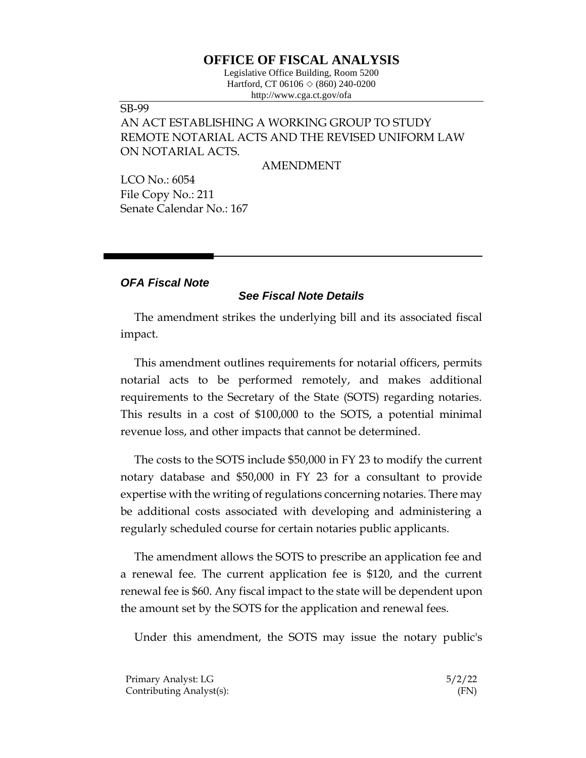## **OFFICE OF FISCAL ANALYSIS**

Legislative Office Building, Room 5200 Hartford, CT 06106  $\Diamond$  (860) 240-0200 http://www.cga.ct.gov/ofa

### SB-99

# AN ACT ESTABLISHING A WORKING GROUP TO STUDY REMOTE NOTARIAL ACTS AND THE REVISED UNIFORM LAW ON NOTARIAL ACTS.

AMENDMENT

LCO No.: 6054 File Copy No.: 211 Senate Calendar No.: 167

### *OFA Fiscal Note*

### *See Fiscal Note Details*

The amendment strikes the underlying bill and its associated fiscal impact.

This amendment outlines requirements for notarial officers, permits notarial acts to be performed remotely, and makes additional requirements to the Secretary of the State (SOTS) regarding notaries. This results in a cost of \$100,000 to the SOTS, a potential minimal revenue loss, and other impacts that cannot be determined.

The costs to the SOTS include \$50,000 in FY 23 to modify the current notary database and \$50,000 in FY 23 for a consultant to provide expertise with the writing of regulations concerning notaries. There may be additional costs associated with developing and administering a regularly scheduled course for certain notaries public applicants.

The amendment allows the SOTS to prescribe an application fee and a renewal fee. The current application fee is \$120, and the current renewal fee is \$60. Any fiscal impact to the state will be dependent upon the amount set by the SOTS for the application and renewal fees.

Under this amendment, the SOTS may issue the notary public's

| Primary Analyst: LG      | 5/2/22 |
|--------------------------|--------|
| Contributing Analyst(s): | (FN)   |